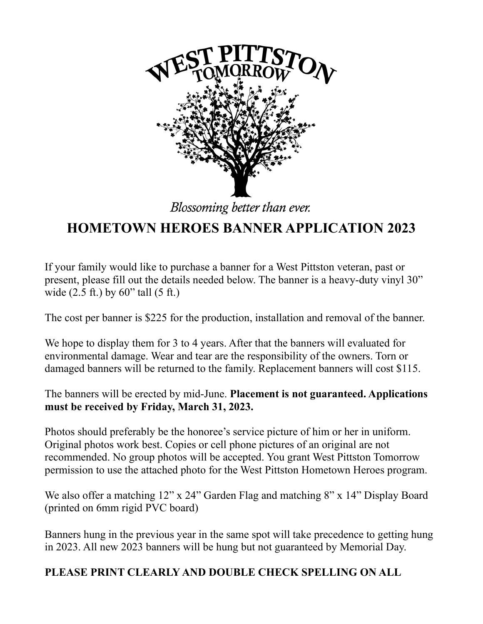

Blossoming better than ever.

## **HOMETOWN HEROES BANNER APPLICATION 2023**

If your family would like to purchase a banner for a West Pittston veteran, past or present, please fill out the details needed below. The banner is a heavy-duty vinyl 30" wide (2.5 ft.) by 60" tall (5 ft.)

The cost per banner is \$225 for the production, installation and removal of the banner.

We hope to display them for 3 to 4 years. After that the banners will evaluated for environmental damage. Wear and tear are the responsibility of the owners. Torn or damaged banners will be returned to the family. Replacement banners will cost \$115.

The banners will be erected by mid-June. **Placement is not guaranteed. Applications must be received by Friday, March 31, 2023.**

Photos should preferably be the honoree's service picture of him or her in uniform. Original photos work best. Copies or cell phone pictures of an original are not recommended. No group photos will be accepted. You grant West Pittston Tomorrow permission to use the attached photo for the West Pittston Hometown Heroes program.

We also offer a matching 12" x 24" Garden Flag and matching 8" x 14" Display Board (printed on 6mm rigid PVC board)

Banners hung in the previous year in the same spot will take precedence to getting hung in 2023. All new 2023 banners will be hung but not guaranteed by Memorial Day.

## **PLEASE PRINT CLEARLY AND DOUBLE CHECK SPELLING ON ALL**